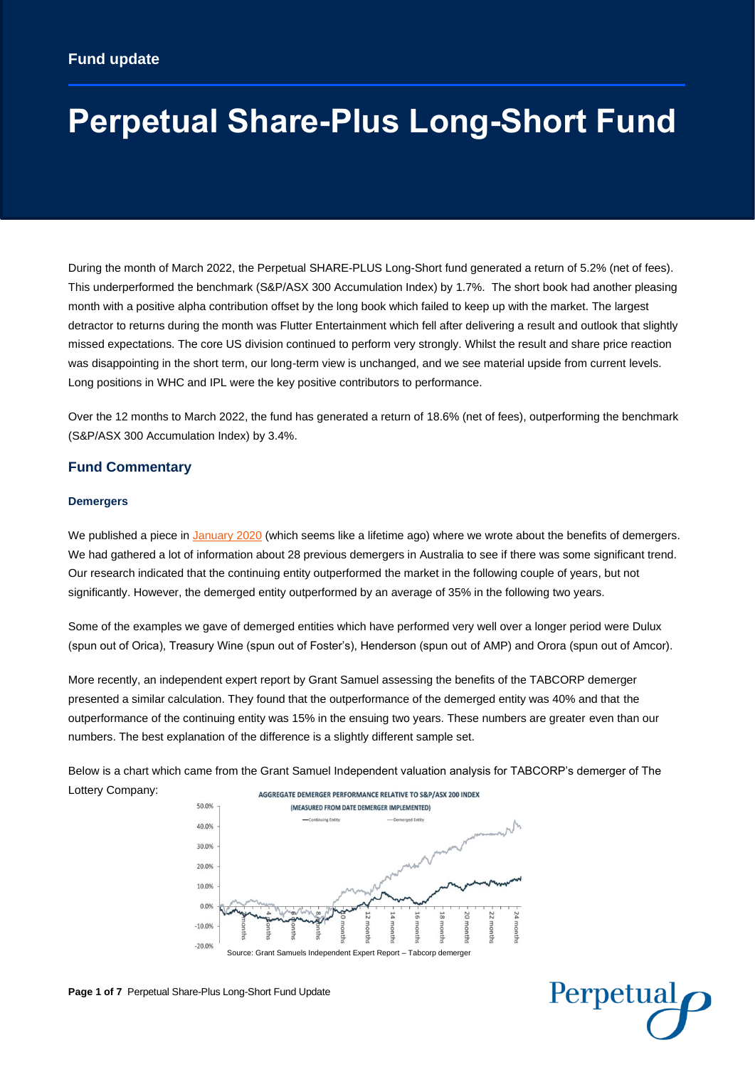# **Perpetual Share-Plus Long-Short Fund**

During the month of March 2022, the Perpetual SHARE-PLUS Long-Short fund generated a return of 5.2% (net of fees). This underperformed the benchmark (S&P/ASX 300 Accumulation Index) by 1.7%. The short book had another pleasing month with a positive alpha contribution offset by the long book which failed to keep up with the market. The largest detractor to returns during the month was Flutter Entertainment which fell after delivering a result and outlook that slightly missed expectations. The core US division continued to perform very strongly. Whilst the result and share price reaction was disappointing in the short term, our long-term view is unchanged, and we see material upside from current levels. Long positions in WHC and IPL were the key positive contributors to performance.

Over the 12 months to March 2022, the fund has generated a return of 18.6% (net of fees), outperforming the benchmark (S&P/ASX 300 Accumulation Index) by 3.4%.

# **Fund Commentary**

## **Demergers**

We published a piece in [January 2020](https://ecomms.perpetual.com.au/cv/a770247eb850181162a71cb590e437f0944bb9f2) (which seems like a lifetime ago) where we wrote about the benefits of demergers. We had gathered a lot of information about 28 previous demergers in Australia to see if there was some significant trend. Our research indicated that the continuing entity outperformed the market in the following couple of years, but not significantly. However, the demerged entity outperformed by an average of 35% in the following two years.

Some of the examples we gave of demerged entities which have performed very well over a longer period were Dulux (spun out of Orica), Treasury Wine (spun out of Foster's), Henderson (spun out of AMP) and Orora (spun out of Amcor).

More recently, an independent expert report by Grant Samuel assessing the benefits of the TABCORP demerger presented a similar calculation. They found that the outperformance of the demerged entity was 40% and that the outperformance of the continuing entity was 15% in the ensuing two years. These numbers are greater even than our numbers. The best explanation of the difference is a slightly different sample set.

Below is a chart which came from the Grant Samuel Independent valuation analysis for TABCORP's demerger of The Lottery Company: AGGREGATE DEMERGER PERFORMANCE RELATIVE TO S&P/ASX 200 INDEX





**Page 1 of 7** Perpetual Share-Plus Long-Short Fund Update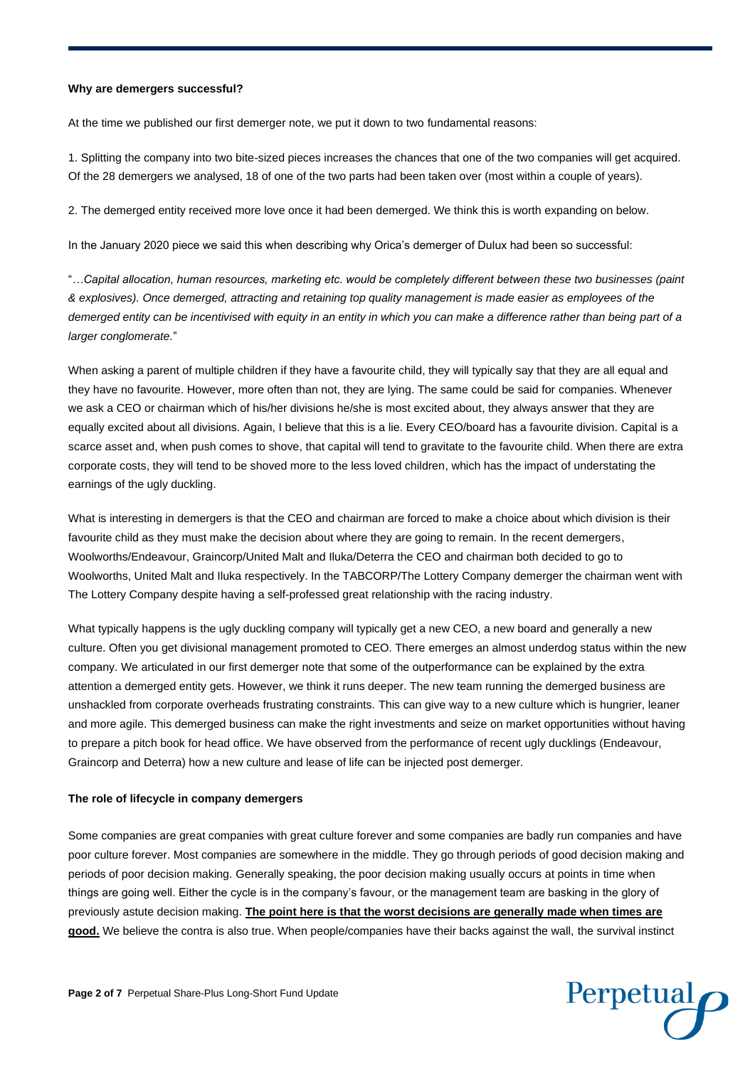### **Why are demergers successful?**

At the time we published our first demerger note, we put it down to two fundamental reasons:

1. Splitting the company into two bite-sized pieces increases the chances that one of the two companies will get acquired. Of the 28 demergers we analysed, 18 of one of the two parts had been taken over (most within a couple of years).

2. The demerged entity received more love once it had been demerged. We think this is worth expanding on below.

In the January 2020 piece we said this when describing why Orica's demerger of Dulux had been so successful:

"*…Capital allocation, human resources, marketing etc. would be completely different between these two businesses (paint & explosives). Once demerged, attracting and retaining top quality management is made easier as employees of the demerged entity can be incentivised with equity in an entity in which you can make a difference rather than being part of a larger conglomerate.*"

When asking a parent of multiple children if they have a favourite child, they will typically say that they are all equal and they have no favourite. However, more often than not, they are lying. The same could be said for companies. Whenever we ask a CEO or chairman which of his/her divisions he/she is most excited about, they always answer that they are equally excited about all divisions. Again, I believe that this is a lie. Every CEO/board has a favourite division. Capital is a scarce asset and, when push comes to shove, that capital will tend to gravitate to the favourite child. When there are extra corporate costs, they will tend to be shoved more to the less loved children, which has the impact of understating the earnings of the ugly duckling.

What is interesting in demergers is that the CEO and chairman are forced to make a choice about which division is their favourite child as they must make the decision about where they are going to remain. In the recent demergers, Woolworths/Endeavour, Graincorp/United Malt and Iluka/Deterra the CEO and chairman both decided to go to Woolworths, United Malt and Iluka respectively. In the TABCORP/The Lottery Company demerger the chairman went with The Lottery Company despite having a self-professed great relationship with the racing industry.

What typically happens is the ugly duckling company will typically get a new CEO, a new board and generally a new culture. Often you get divisional management promoted to CEO. There emerges an almost underdog status within the new company. We articulated in our first demerger note that some of the outperformance can be explained by the extra attention a demerged entity gets. However, we think it runs deeper. The new team running the demerged business are unshackled from corporate overheads frustrating constraints. This can give way to a new culture which is hungrier, leaner and more agile. This demerged business can make the right investments and seize on market opportunities without having to prepare a pitch book for head office. We have observed from the performance of recent ugly ducklings (Endeavour, Graincorp and Deterra) how a new culture and lease of life can be injected post demerger.

#### **The role of lifecycle in company demergers**

Some companies are great companies with great culture forever and some companies are badly run companies and have poor culture forever. Most companies are somewhere in the middle. They go through periods of good decision making and periods of poor decision making. Generally speaking, the poor decision making usually occurs at points in time when things are going well. Either the cycle is in the company's favour, or the management team are basking in the glory of previously astute decision making. **The point here is that the worst decisions are generally made when times are good.** We believe the contra is also true. When people/companies have their backs against the wall, the survival instinct

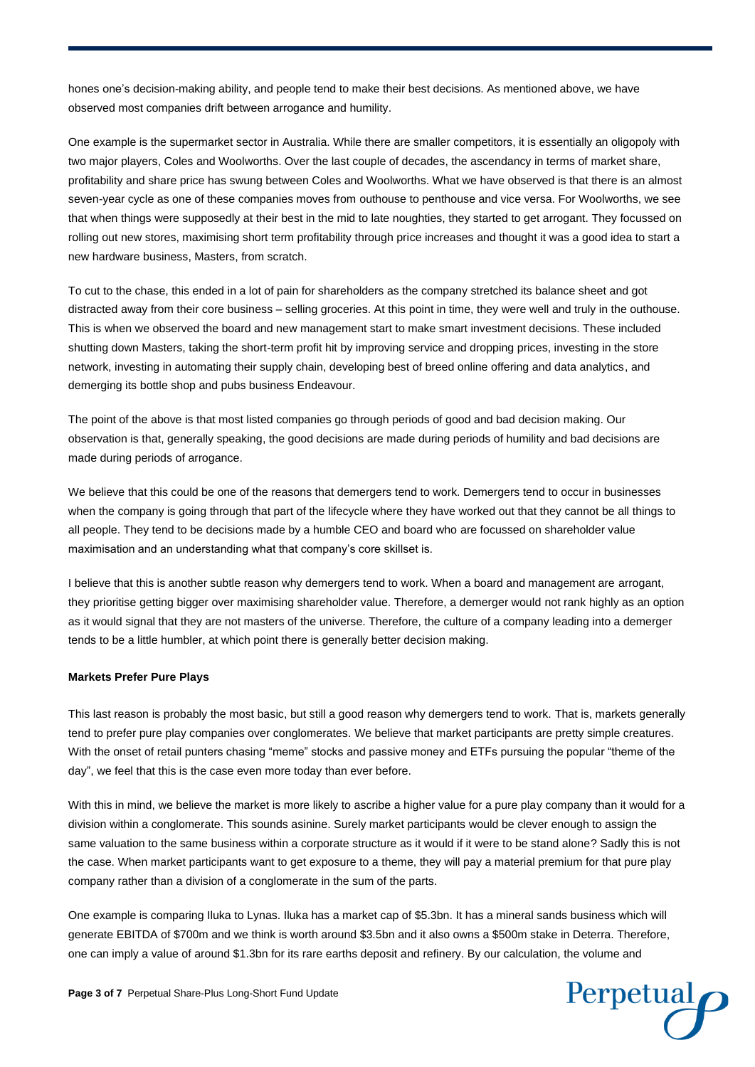hones one's decision-making ability, and people tend to make their best decisions. As mentioned above, we have observed most companies drift between arrogance and humility.

One example is the supermarket sector in Australia. While there are smaller competitors, it is essentially an oligopoly with two major players, Coles and Woolworths. Over the last couple of decades, the ascendancy in terms of market share, profitability and share price has swung between Coles and Woolworths. What we have observed is that there is an almost seven-year cycle as one of these companies moves from outhouse to penthouse and vice versa. For Woolworths, we see that when things were supposedly at their best in the mid to late noughties, they started to get arrogant. They focussed on rolling out new stores, maximising short term profitability through price increases and thought it was a good idea to start a new hardware business, Masters, from scratch.

To cut to the chase, this ended in a lot of pain for shareholders as the company stretched its balance sheet and got distracted away from their core business – selling groceries. At this point in time, they were well and truly in the outhouse. This is when we observed the board and new management start to make smart investment decisions. These included shutting down Masters, taking the short-term profit hit by improving service and dropping prices, investing in the store network, investing in automating their supply chain, developing best of breed online offering and data analytics, and demerging its bottle shop and pubs business Endeavour.

The point of the above is that most listed companies go through periods of good and bad decision making. Our observation is that, generally speaking, the good decisions are made during periods of humility and bad decisions are made during periods of arrogance.

We believe that this could be one of the reasons that demergers tend to work. Demergers tend to occur in businesses when the company is going through that part of the lifecycle where they have worked out that they cannot be all things to all people. They tend to be decisions made by a humble CEO and board who are focussed on shareholder value maximisation and an understanding what that company's core skillset is.

I believe that this is another subtle reason why demergers tend to work. When a board and management are arrogant, they prioritise getting bigger over maximising shareholder value. Therefore, a demerger would not rank highly as an option as it would signal that they are not masters of the universe. Therefore, the culture of a company leading into a demerger tends to be a little humbler, at which point there is generally better decision making.

#### **Markets Prefer Pure Plays**

This last reason is probably the most basic, but still a good reason why demergers tend to work. That is, markets generally tend to prefer pure play companies over conglomerates. We believe that market participants are pretty simple creatures. With the onset of retail punters chasing "meme" stocks and passive money and ETFs pursuing the popular "theme of the day", we feel that this is the case even more today than ever before.

With this in mind, we believe the market is more likely to ascribe a higher value for a pure play company than it would for a division within a conglomerate. This sounds asinine. Surely market participants would be clever enough to assign the same valuation to the same business within a corporate structure as it would if it were to be stand alone? Sadly this is not the case. When market participants want to get exposure to a theme, they will pay a material premium for that pure play company rather than a division of a conglomerate in the sum of the parts.

One example is comparing Iluka to Lynas. Iluka has a market cap of \$5.3bn. It has a mineral sands business which will generate EBITDA of \$700m and we think is worth around \$3.5bn and it also owns a \$500m stake in Deterra. Therefore, one can imply a value of around \$1.3bn for its rare earths deposit and refinery. By our calculation, the volume and

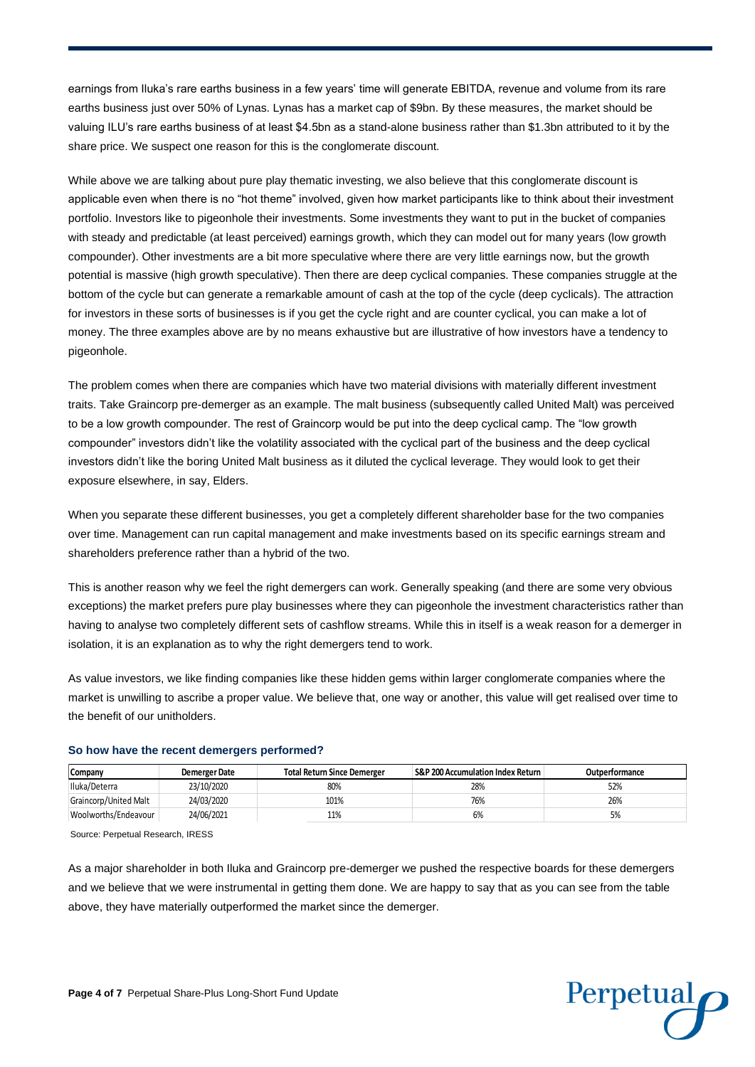earnings from Iluka's rare earths business in a few years' time will generate EBITDA, revenue and volume from its rare earths business just over 50% of Lynas. Lynas has a market cap of \$9bn. By these measures, the market should be valuing ILU's rare earths business of at least \$4.5bn as a stand-alone business rather than \$1.3bn attributed to it by the share price. We suspect one reason for this is the conglomerate discount.

While above we are talking about pure play thematic investing, we also believe that this conglomerate discount is applicable even when there is no "hot theme" involved, given how market participants like to think about their investment portfolio. Investors like to pigeonhole their investments. Some investments they want to put in the bucket of companies with steady and predictable (at least perceived) earnings growth, which they can model out for many years (low growth compounder). Other investments are a bit more speculative where there are very little earnings now, but the growth potential is massive (high growth speculative). Then there are deep cyclical companies. These companies struggle at the bottom of the cycle but can generate a remarkable amount of cash at the top of the cycle (deep cyclicals). The attraction for investors in these sorts of businesses is if you get the cycle right and are counter cyclical, you can make a lot of money. The three examples above are by no means exhaustive but are illustrative of how investors have a tendency to pigeonhole.

The problem comes when there are companies which have two material divisions with materially different investment traits. Take Graincorp pre-demerger as an example. The malt business (subsequently called United Malt) was perceived to be a low growth compounder. The rest of Graincorp would be put into the deep cyclical camp. The "low growth compounder" investors didn't like the volatility associated with the cyclical part of the business and the deep cyclical investors didn't like the boring United Malt business as it diluted the cyclical leverage. They would look to get their exposure elsewhere, in say, Elders.

When you separate these different businesses, you get a completely different shareholder base for the two companies over time. Management can run capital management and make investments based on its specific earnings stream and shareholders preference rather than a hybrid of the two.

This is another reason why we feel the right demergers can work. Generally speaking (and there are some very obvious exceptions) the market prefers pure play businesses where they can pigeonhole the investment characteristics rather than having to analyse two completely different sets of cashflow streams. While this in itself is a weak reason for a demerger in isolation, it is an explanation as to why the right demergers tend to work.

As value investors, we like finding companies like these hidden gems within larger conglomerate companies where the market is unwilling to ascribe a proper value. We believe that, one way or another, this value will get realised over time to the benefit of our unitholders.

| Company               | <b>Demerger Date</b> | <b>Total Return Since Demerger</b> | <b>S&amp;P 200 Accumulation Index Return</b> | Outperformance |
|-----------------------|----------------------|------------------------------------|----------------------------------------------|----------------|
| Iluka/Deterra         | 23/10/2020           | 80%                                | 28%                                          | 52%            |
| Graincorp/United Malt | 24/03/2020           | 101%                               | 76%                                          | 26%            |
| Woolworths/Endeavour  | 24/06/2021           | 11%                                | 6%                                           | 5%             |

#### **So how have the recent demergers performed?**

Source: Perpetual Research, IRESS

As a major shareholder in both Iluka and Graincorp pre-demerger we pushed the respective boards for these demergers and we believe that we were instrumental in getting them done. We are happy to say that as you can see from the table above, they have materially outperformed the market since the demerger.

Perpetual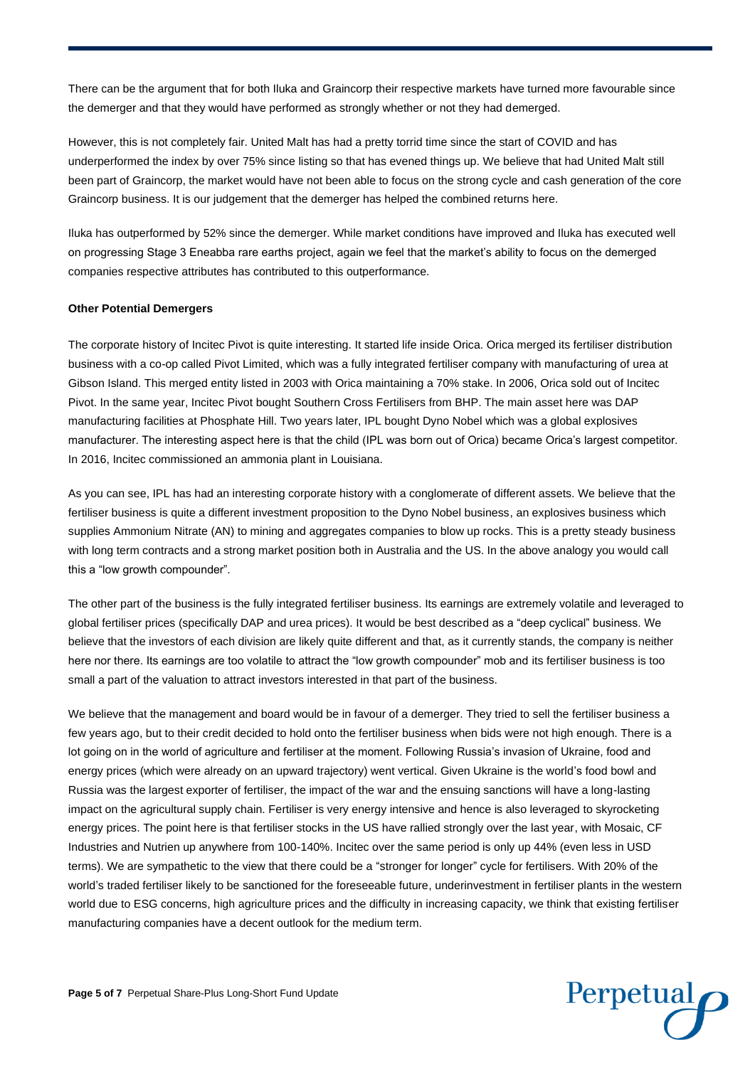There can be the argument that for both Iluka and Graincorp their respective markets have turned more favourable since the demerger and that they would have performed as strongly whether or not they had demerged.

However, this is not completely fair. United Malt has had a pretty torrid time since the start of COVID and has underperformed the index by over 75% since listing so that has evened things up. We believe that had United Malt still been part of Graincorp, the market would have not been able to focus on the strong cycle and cash generation of the core Graincorp business. It is our judgement that the demerger has helped the combined returns here.

Iluka has outperformed by 52% since the demerger. While market conditions have improved and Iluka has executed well on progressing Stage 3 Eneabba rare earths project, again we feel that the market's ability to focus on the demerged companies respective attributes has contributed to this outperformance.

#### **Other Potential Demergers**

The corporate history of Incitec Pivot is quite interesting. It started life inside Orica. Orica merged its fertiliser distribution business with a co-op called Pivot Limited, which was a fully integrated fertiliser company with manufacturing of urea at Gibson Island. This merged entity listed in 2003 with Orica maintaining a 70% stake. In 2006, Orica sold out of Incitec Pivot. In the same year, Incitec Pivot bought Southern Cross Fertilisers from BHP. The main asset here was DAP manufacturing facilities at Phosphate Hill. Two years later, IPL bought Dyno Nobel which was a global explosives manufacturer. The interesting aspect here is that the child (IPL was born out of Orica) became Orica's largest competitor. In 2016, Incitec commissioned an ammonia plant in Louisiana.

As you can see, IPL has had an interesting corporate history with a conglomerate of different assets. We believe that the fertiliser business is quite a different investment proposition to the Dyno Nobel business, an explosives business which supplies Ammonium Nitrate (AN) to mining and aggregates companies to blow up rocks. This is a pretty steady business with long term contracts and a strong market position both in Australia and the US. In the above analogy you would call this a "low growth compounder".

The other part of the business is the fully integrated fertiliser business. Its earnings are extremely volatile and leveraged to global fertiliser prices (specifically DAP and urea prices). It would be best described as a "deep cyclical" business. We believe that the investors of each division are likely quite different and that, as it currently stands, the company is neither here nor there. Its earnings are too volatile to attract the "low growth compounder" mob and its fertiliser business is too small a part of the valuation to attract investors interested in that part of the business.

We believe that the management and board would be in favour of a demerger. They tried to sell the fertiliser business a few years ago, but to their credit decided to hold onto the fertiliser business when bids were not high enough. There is a lot going on in the world of agriculture and fertiliser at the moment. Following Russia's invasion of Ukraine, food and energy prices (which were already on an upward trajectory) went vertical. Given Ukraine is the world's food bowl and Russia was the largest exporter of fertiliser, the impact of the war and the ensuing sanctions will have a long-lasting impact on the agricultural supply chain. Fertiliser is very energy intensive and hence is also leveraged to skyrocketing energy prices. The point here is that fertiliser stocks in the US have rallied strongly over the last year, with Mosaic, CF Industries and Nutrien up anywhere from 100-140%. Incitec over the same period is only up 44% (even less in USD terms). We are sympathetic to the view that there could be a "stronger for longer" cycle for fertilisers. With 20% of the world's traded fertiliser likely to be sanctioned for the foreseeable future, underinvestment in fertiliser plants in the western world due to ESG concerns, high agriculture prices and the difficulty in increasing capacity, we think that existing fertiliser manufacturing companies have a decent outlook for the medium term.

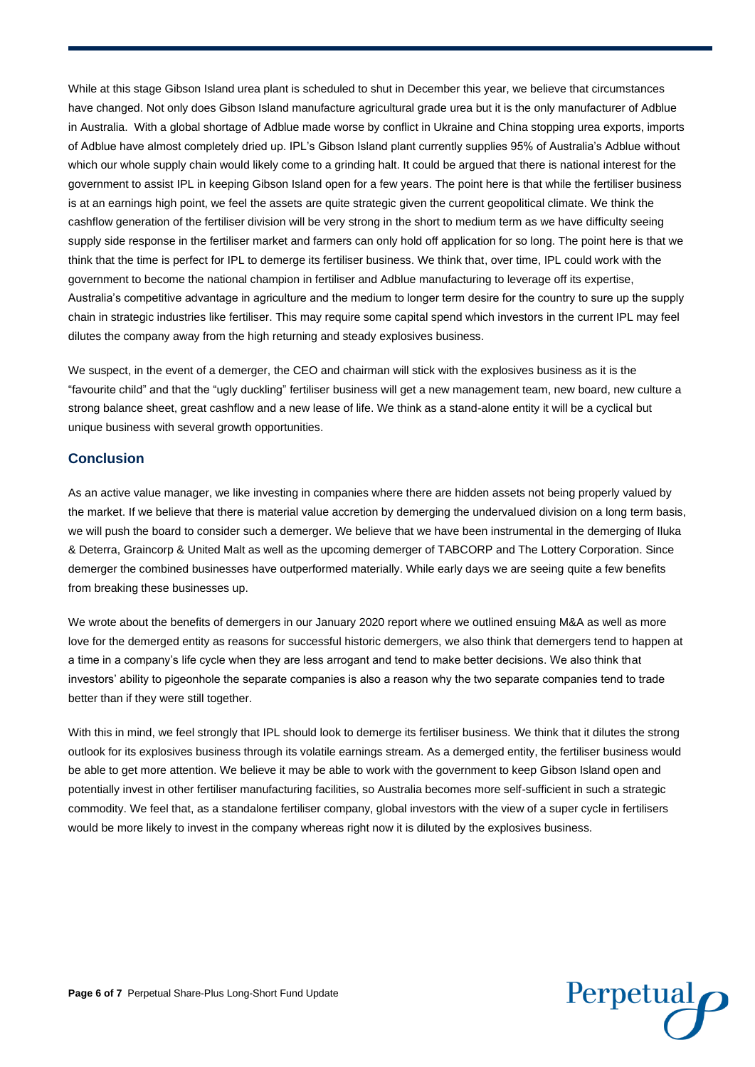While at this stage Gibson Island urea plant is scheduled to shut in December this year, we believe that circumstances have changed. Not only does Gibson Island manufacture agricultural grade urea but it is the only manufacturer of Adblue in Australia. With a global shortage of Adblue made worse by conflict in Ukraine and China stopping urea exports, imports of Adblue have almost completely dried up. IPL's Gibson Island plant currently supplies 95% of Australia's Adblue without which our whole supply chain would likely come to a grinding halt. It could be argued that there is national interest for the government to assist IPL in keeping Gibson Island open for a few years. The point here is that while the fertiliser business is at an earnings high point, we feel the assets are quite strategic given the current geopolitical climate. We think the cashflow generation of the fertiliser division will be very strong in the short to medium term as we have difficulty seeing supply side response in the fertiliser market and farmers can only hold off application for so long. The point here is that we think that the time is perfect for IPL to demerge its fertiliser business. We think that, over time, IPL could work with the government to become the national champion in fertiliser and Adblue manufacturing to leverage off its expertise, Australia's competitive advantage in agriculture and the medium to longer term desire for the country to sure up the supply chain in strategic industries like fertiliser. This may require some capital spend which investors in the current IPL may feel dilutes the company away from the high returning and steady explosives business.

We suspect, in the event of a demerger, the CEO and chairman will stick with the explosives business as it is the "favourite child" and that the "ugly duckling" fertiliser business will get a new management team, new board, new culture a strong balance sheet, great cashflow and a new lease of life. We think as a stand-alone entity it will be a cyclical but unique business with several growth opportunities.

## **Conclusion**

As an active value manager, we like investing in companies where there are hidden assets not being properly valued by the market. If we believe that there is material value accretion by demerging the undervalued division on a long term basis, we will push the board to consider such a demerger. We believe that we have been instrumental in the demerging of Iluka & Deterra, Graincorp & United Malt as well as the upcoming demerger of TABCORP and The Lottery Corporation. Since demerger the combined businesses have outperformed materially. While early days we are seeing quite a few benefits from breaking these businesses up.

We wrote about the benefits of demergers in our January 2020 report where we outlined ensuing M&A as well as more love for the demerged entity as reasons for successful historic demergers, we also think that demergers tend to happen at a time in a company's life cycle when they are less arrogant and tend to make better decisions. We also think that investors' ability to pigeonhole the separate companies is also a reason why the two separate companies tend to trade better than if they were still together.

With this in mind, we feel strongly that IPL should look to demerge its fertiliser business. We think that it dilutes the strong outlook for its explosives business through its volatile earnings stream. As a demerged entity, the fertiliser business would be able to get more attention. We believe it may be able to work with the government to keep Gibson Island open and potentially invest in other fertiliser manufacturing facilities, so Australia becomes more self-sufficient in such a strategic commodity. We feel that, as a standalone fertiliser company, global investors with the view of a super cycle in fertilisers would be more likely to invest in the company whereas right now it is diluted by the explosives business.